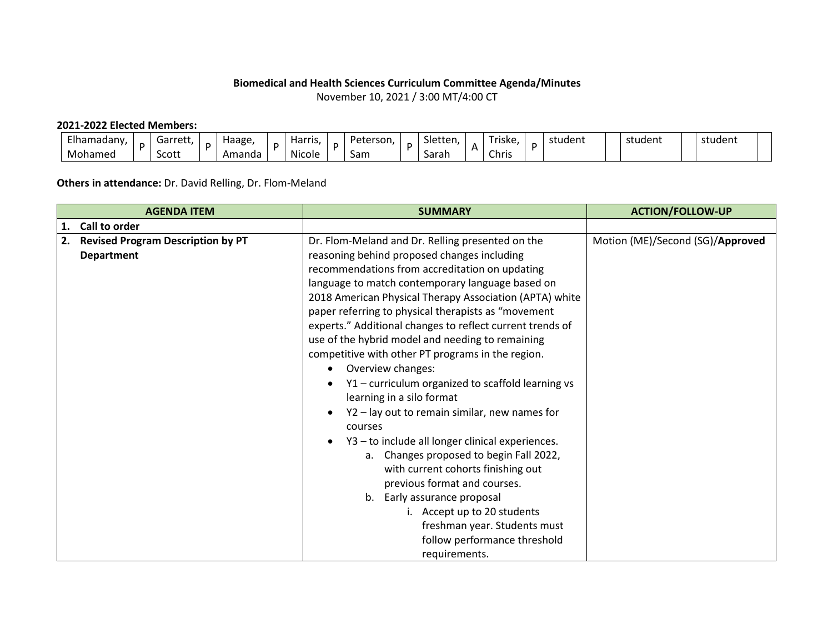## **Biomedical and Health Sciences Curriculum Committee Agenda/Minutes**

November 10, 2021 / 3:00 MT/4:00 CT

## **2021-2022 Elected Members:**

| Elhamadany, | Garret"<br>こしし | Haage,<br>. . | . . | <b>Harris</b><br>. .           | Peterson. | $\sim$<br>Sletten | $ \cdot$<br>`riske. | student | student | student |
|-------------|----------------|---------------|-----|--------------------------------|-----------|-------------------|---------------------|---------|---------|---------|
| Mohamed     | Scott          | Amanda        |     | $\ddot{\phantom{0}}$<br>Nicole | Sam       | Sarah             | Chris               |         |         |         |

## **Others in attendance:** Dr. David Relling, Dr. Flom-Meland

|    | <b>AGENDA ITEM</b>                       | <b>SUMMARY</b>                                            | <b>ACTION/FOLLOW-UP</b>          |
|----|------------------------------------------|-----------------------------------------------------------|----------------------------------|
|    | 1. Call to order                         |                                                           |                                  |
| 2. | <b>Revised Program Description by PT</b> | Dr. Flom-Meland and Dr. Relling presented on the          | Motion (ME)/Second (SG)/Approved |
|    | <b>Department</b>                        | reasoning behind proposed changes including               |                                  |
|    |                                          | recommendations from accreditation on updating            |                                  |
|    |                                          | language to match contemporary language based on          |                                  |
|    |                                          | 2018 American Physical Therapy Association (APTA) white   |                                  |
|    |                                          | paper referring to physical therapists as "movement       |                                  |
|    |                                          | experts." Additional changes to reflect current trends of |                                  |
|    |                                          | use of the hybrid model and needing to remaining          |                                  |
|    |                                          | competitive with other PT programs in the region.         |                                  |
|    |                                          | Overview changes:<br>$\bullet$                            |                                  |
|    |                                          | Y1 - curriculum organized to scaffold learning vs         |                                  |
|    |                                          | learning in a silo format                                 |                                  |
|    |                                          | Y2 - lay out to remain similar, new names for             |                                  |
|    |                                          | courses                                                   |                                  |
|    |                                          | Y3 - to include all longer clinical experiences.          |                                  |
|    |                                          | a. Changes proposed to begin Fall 2022,                   |                                  |
|    |                                          | with current cohorts finishing out                        |                                  |
|    |                                          | previous format and courses.                              |                                  |
|    |                                          | b. Early assurance proposal                               |                                  |
|    |                                          | i. Accept up to 20 students                               |                                  |
|    |                                          | freshman year. Students must                              |                                  |
|    |                                          | follow performance threshold                              |                                  |
|    |                                          | requirements.                                             |                                  |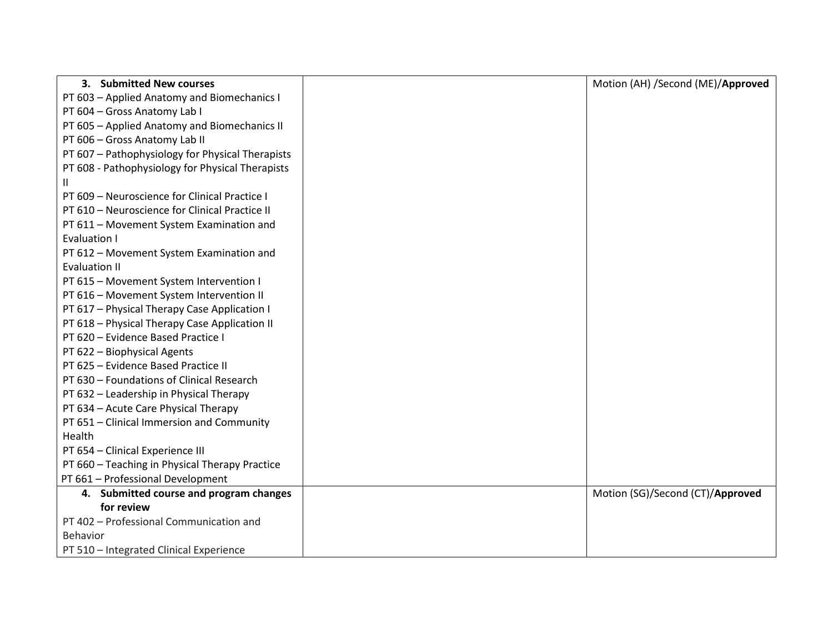| 3. Submitted New courses                         | Motion (AH) /Second (ME)/Approved |
|--------------------------------------------------|-----------------------------------|
| PT 603 - Applied Anatomy and Biomechanics I      |                                   |
| PT 604 - Gross Anatomy Lab I                     |                                   |
| PT 605 - Applied Anatomy and Biomechanics II     |                                   |
| PT 606 - Gross Anatomy Lab II                    |                                   |
| PT 607 - Pathophysiology for Physical Therapists |                                   |
| PT 608 - Pathophysiology for Physical Therapists |                                   |
| Ш                                                |                                   |
| PT 609 - Neuroscience for Clinical Practice I    |                                   |
| PT 610 - Neuroscience for Clinical Practice II   |                                   |
| PT 611 - Movement System Examination and         |                                   |
| Evaluation I                                     |                                   |
| PT 612 - Movement System Examination and         |                                   |
| <b>Evaluation II</b>                             |                                   |
| PT 615 - Movement System Intervention I          |                                   |
| PT 616 - Movement System Intervention II         |                                   |
| PT 617 - Physical Therapy Case Application I     |                                   |
| PT 618 - Physical Therapy Case Application II    |                                   |
| PT 620 - Evidence Based Practice I               |                                   |
| PT 622 - Biophysical Agents                      |                                   |
| PT 625 - Evidence Based Practice II              |                                   |
| PT 630 - Foundations of Clinical Research        |                                   |
| PT 632 - Leadership in Physical Therapy          |                                   |
| PT 634 - Acute Care Physical Therapy             |                                   |
| PT 651 - Clinical Immersion and Community        |                                   |
| Health                                           |                                   |
| PT 654 - Clinical Experience III                 |                                   |
| PT 660 - Teaching in Physical Therapy Practice   |                                   |
| PT 661 - Professional Development                |                                   |
| 4. Submitted course and program changes          | Motion (SG)/Second (CT)/Approved  |
| for review                                       |                                   |
| PT 402 - Professional Communication and          |                                   |
| Behavior                                         |                                   |
| PT 510 - Integrated Clinical Experience          |                                   |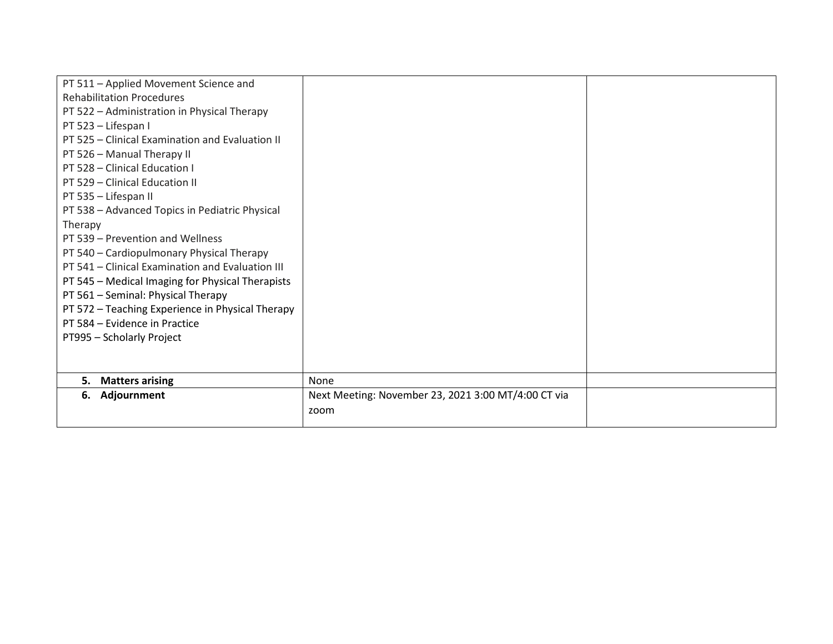| PT 511 - Applied Movement Science and            |                                                     |  |
|--------------------------------------------------|-----------------------------------------------------|--|
| <b>Rehabilitation Procedures</b>                 |                                                     |  |
| PT 522 - Administration in Physical Therapy      |                                                     |  |
| PT 523 - Lifespan I                              |                                                     |  |
| PT 525 - Clinical Examination and Evaluation II  |                                                     |  |
| PT 526 - Manual Therapy II                       |                                                     |  |
| PT 528 - Clinical Education I                    |                                                     |  |
| PT 529 - Clinical Education II                   |                                                     |  |
| PT 535 - Lifespan II                             |                                                     |  |
| PT 538 - Advanced Topics in Pediatric Physical   |                                                     |  |
| Therapy                                          |                                                     |  |
| PT 539 - Prevention and Wellness                 |                                                     |  |
| PT 540 - Cardiopulmonary Physical Therapy        |                                                     |  |
| PT 541 - Clinical Examination and Evaluation III |                                                     |  |
| PT 545 - Medical Imaging for Physical Therapists |                                                     |  |
| PT 561 - Seminal: Physical Therapy               |                                                     |  |
| PT 572 - Teaching Experience in Physical Therapy |                                                     |  |
| PT 584 - Evidence in Practice                    |                                                     |  |
| PT995 - Scholarly Project                        |                                                     |  |
|                                                  |                                                     |  |
|                                                  |                                                     |  |
| <b>Matters arising</b><br>5.                     | None                                                |  |
| 6. Adjournment                                   | Next Meeting: November 23, 2021 3:00 MT/4:00 CT via |  |
|                                                  | zoom                                                |  |
|                                                  |                                                     |  |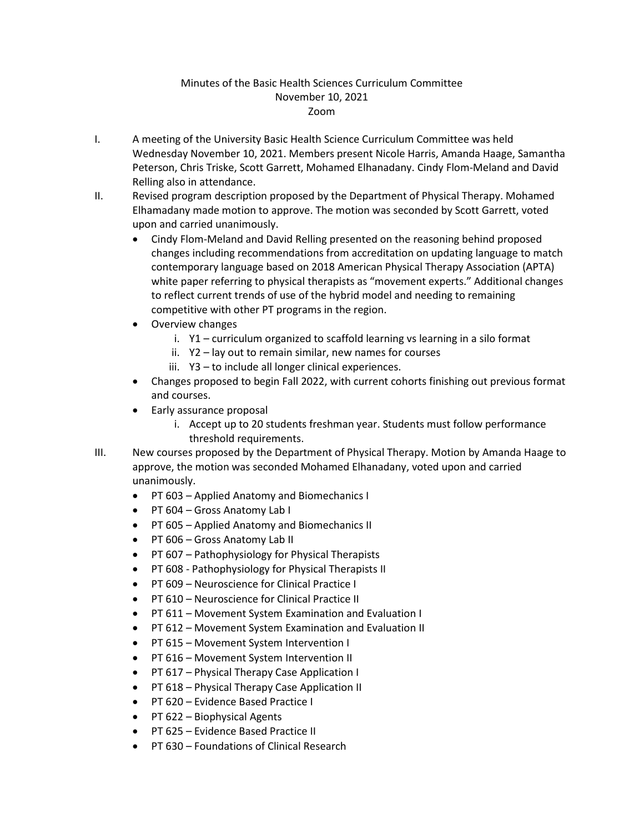## Minutes of the Basic Health Sciences Curriculum Committee November 10, 2021 Zoom

- I. A meeting of the University Basic Health Science Curriculum Committee was held Wednesday November 10, 2021. Members present Nicole Harris, Amanda Haage, Samantha Peterson, Chris Triske, Scott Garrett, Mohamed Elhanadany. Cindy Flom-Meland and David Relling also in attendance.
- II. Revised program description proposed by the Department of Physical Therapy. Mohamed Elhamadany made motion to approve. The motion was seconded by Scott Garrett, voted upon and carried unanimously.
	- Cindy Flom-Meland and David Relling presented on the reasoning behind proposed changes including recommendations from accreditation on updating language to match contemporary language based on 2018 American Physical Therapy Association (APTA) white paper referring to physical therapists as "movement experts." Additional changes to reflect current trends of use of the hybrid model and needing to remaining competitive with other PT programs in the region.
	- Overview changes
		- i. Y1 curriculum organized to scaffold learning vs learning in a silo format
		- ii. Y2 lay out to remain similar, new names for courses
		- iii. Y3 to include all longer clinical experiences.
	- Changes proposed to begin Fall 2022, with current cohorts finishing out previous format and courses.
	- Early assurance proposal
		- i. Accept up to 20 students freshman year. Students must follow performance threshold requirements.
- III. New courses proposed by the Department of Physical Therapy. Motion by Amanda Haage to approve, the motion was seconded Mohamed Elhanadany, voted upon and carried unanimously.
	- PT 603 Applied Anatomy and Biomechanics I
	- PT 604 Gross Anatomy Lab I
	- PT 605 Applied Anatomy and Biomechanics II
	- PT 606 Gross Anatomy Lab II
	- PT 607 Pathophysiology for Physical Therapists
	- PT 608 Pathophysiology for Physical Therapists II
	- PT 609 Neuroscience for Clinical Practice I
	- PT 610 Neuroscience for Clinical Practice II
	- PT 611 Movement System Examination and Evaluation I
	- PT 612 Movement System Examination and Evaluation II
	- PT 615 Movement System Intervention I
	- PT 616 Movement System Intervention II
	- PT 617 Physical Therapy Case Application I
	- PT 618 Physical Therapy Case Application II
	- PT 620 Evidence Based Practice I
	- PT 622 Biophysical Agents
	- PT 625 Evidence Based Practice II
	- PT 630 Foundations of Clinical Research